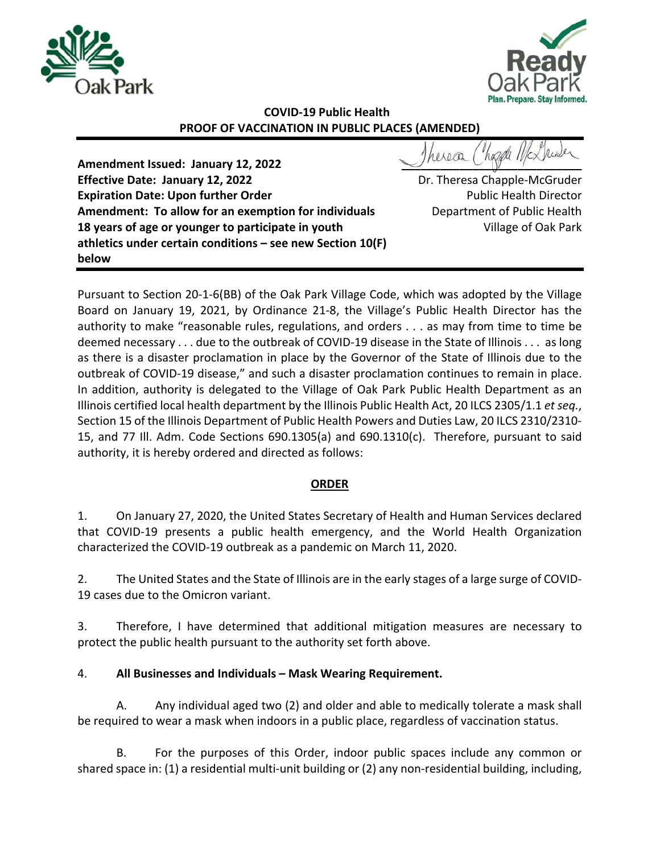



## **COVID‐19 Public Health PROOF OF VACCINATION IN PUBLIC PLACES (AMENDED)**

**Amendment Issued: January 12, 2022 Effective Date: January 12, 2022 Expiration Date: Upon further Order Amendment: To allow for an exemption for individuals 18 years of age or younger to participate in youth athletics under certain conditions – see new Section 10(F) below**

 $\bigcup_{\alpha} \bigcup_{\alpha} \bigcup_{\alpha} \bigcup_{\alpha} \bigcup_{\alpha} \bigcap_{\alpha} \bigcup_{\alpha} \bigcup_{\alpha} \bigcup_{\alpha} \bigcup_{\alpha} \bigcup_{\alpha} \bigcup_{\alpha} \bigcup_{\alpha} \bigcup_{\alpha} \bigcup_{\alpha} \bigcup_{\alpha} \bigcup_{\alpha} \bigcup_{\alpha} \bigcup_{\alpha} \bigcup_{\alpha} \bigcup_{\alpha} \bigcup_{\alpha} \bigcup_{\alpha} \bigcup_{\alpha} \bigcup_{\alpha} \bigcup_{\alpha} \bigcap_{\alpha} \bigcap_{\alpha} \bigcap_{\alpha} \bigcap_{\alpha} \bigcap_{\alpha} \bigcap_{$ 

Dr. Theresa Chapple‐McGruder Public Health Director Department of Public Health Village of Oak Park

Pursuant to Section 20‐1‐6(BB) of the Oak Park Village Code, which was adopted by the Village Board on January 19, 2021, by Ordinance 21‐8, the Village's Public Health Director has the authority to make "reasonable rules, regulations, and orders . . . as may from time to time be deemed necessary . . . due to the outbreak of COVID‐19 disease in the State of Illinois . . . as long as there is a disaster proclamation in place by the Governor of the State of Illinois due to the outbreak of COVID‐19 disease," and such a disaster proclamation continues to remain in place. In addition, authority is delegated to the Village of Oak Park Public Health Department as an Illinois certified local health department by the Illinois Public Health Act, 20 ILCS 2305/1.1 *et seq.*, Section 15 of the Illinois Department of Public Health Powers and Duties Law, 20 ILCS 2310/2310‐ 15, and 77 Ill. Adm. Code Sections 690.1305(a) and 690.1310(c). Therefore, pursuant to said authority, it is hereby ordered and directed as follows:

#### **ORDER**

1. On January 27, 2020, the United States Secretary of Health and Human Services declared that COVID-19 presents a public health emergency, and the World Health Organization characterized the COVID‐19 outbreak as a pandemic on March 11, 2020.

2. The United States and the State of Illinois are in the early stages of a large surge of COVID‐ 19 cases due to the Omicron variant.

3. Therefore, I have determined that additional mitigation measures are necessary to protect the public health pursuant to the authority set forth above.

### 4. **All Businesses and Individuals – Mask Wearing Requirement.**

A. Any individual aged two (2) and older and able to medically tolerate a mask shall be required to wear a mask when indoors in a public place, regardless of vaccination status.

B. For the purposes of this Order, indoor public spaces include any common or shared space in: (1) a residential multi‐unit building or (2) any non‐residential building, including,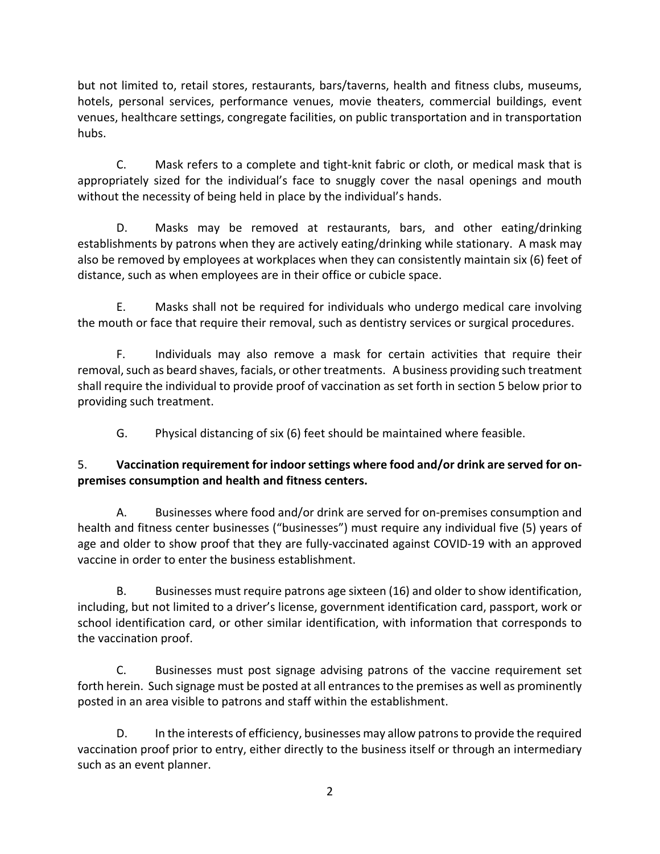but not limited to, retail stores, restaurants, bars/taverns, health and fitness clubs, museums, hotels, personal services, performance venues, movie theaters, commercial buildings, event venues, healthcare settings, congregate facilities, on public transportation and in transportation hubs.

C. Mask refers to a complete and tight‐knit fabric or cloth, or medical mask that is appropriately sized for the individual's face to snuggly cover the nasal openings and mouth without the necessity of being held in place by the individual's hands.

D. Masks may be removed at restaurants, bars, and other eating/drinking establishments by patrons when they are actively eating/drinking while stationary. A mask may also be removed by employees at workplaces when they can consistently maintain six (6) feet of distance, such as when employees are in their office or cubicle space.

E. Masks shall not be required for individuals who undergo medical care involving the mouth or face that require their removal, such as dentistry services or surgical procedures.

F. Individuals may also remove a mask for certain activities that require their removal, such as beard shaves, facials, or other treatments. A business providing such treatment shall require the individual to provide proof of vaccination as set forth in section 5 below prior to providing such treatment.

G. Physical distancing of six (6) feet should be maintained where feasible.

### 5. **Vaccination requirement for indoor settings where food and/or drink are served for on‐ premises consumption and health and fitness centers.**

A. Businesses where food and/or drink are served for on‐premises consumption and health and fitness center businesses ("businesses") must require any individual five (5) years of age and older to show proof that they are fully-vaccinated against COVID-19 with an approved vaccine in order to enter the business establishment.

 B. Businesses must require patrons age sixteen (16) and older to show identification, including, but not limited to a driver's license, government identification card, passport, work or school identification card, or other similar identification, with information that corresponds to the vaccination proof.

 C. Businesses must post signage advising patrons of the vaccine requirement set forth herein. Such signage must be posted at all entrances to the premises as well as prominently posted in an area visible to patrons and staff within the establishment.

 D. In the interests of efficiency, businesses may allow patrons to provide the required vaccination proof prior to entry, either directly to the business itself or through an intermediary such as an event planner.

2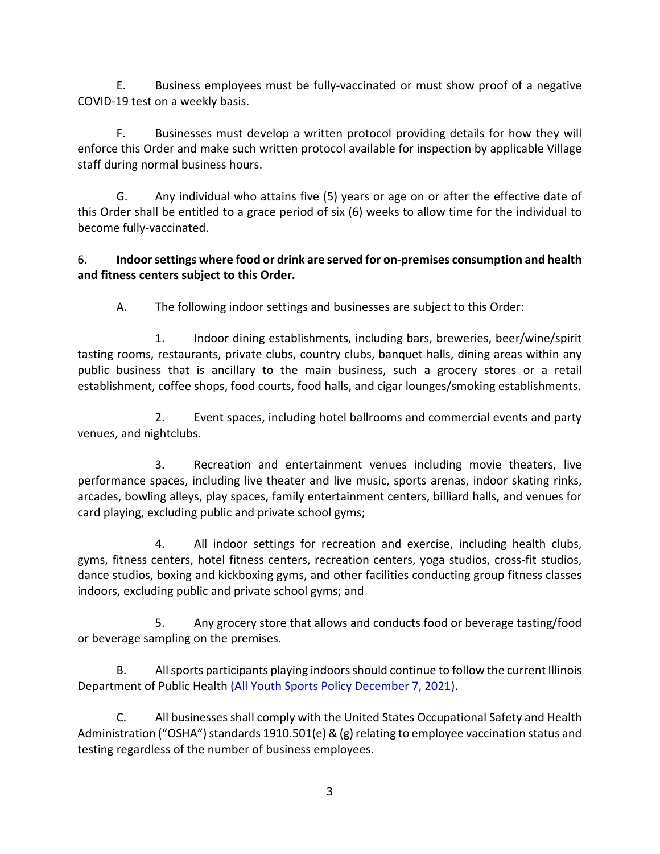E. Business employees must be fully‐vaccinated or must show proof of a negative COVID‐19 test on a weekly basis.

F. Businesses must develop a written protocol providing details for how they will enforce this Order and make such written protocol available for inspection by applicable Village staff during normal business hours.

G. Any individual who attains five (5) years or age on or after the effective date of this Order shall be entitled to a grace period of six (6) weeks to allow time for the individual to become fully‐vaccinated.

### 6. **Indoor settings where food or drink are served for on‐premises consumption and health and fitness centers subject to this Order.**

A. The following indoor settings and businesses are subject to this Order:

1. Indoor dining establishments, including bars, breweries, beer/wine/spirit tasting rooms, restaurants, private clubs, country clubs, banquet halls, dining areas within any public business that is ancillary to the main business, such a grocery stores or a retail establishment, coffee shops, food courts, food halls, and cigar lounges/smoking establishments.

2. Event spaces, including hotel ballrooms and commercial events and party venues, and nightclubs.

3. Recreation and entertainment venues including movie theaters, live performance spaces, including live theater and live music, sports arenas, indoor skating rinks, arcades, bowling alleys, play spaces, family entertainment centers, billiard halls, and venues for card playing, excluding public and private school gyms;

4. All indoor settings for recreation and exercise, including health clubs, gyms, fitness centers, hotel fitness centers, recreation centers, yoga studios, cross‐fit studios, dance studios, boxing and kickboxing gyms, and other facilities conducting group fitness classes indoors, excluding public and private school gyms; and

5. Any grocery store that allows and conducts food or beverage tasting/food or beverage sampling on the premises.

B. All sports participants playing indoors should continue to follow the current Illinois Department of Public Health (All Youth Sports Policy December 7, 2021).

C. All businesses shall comply with the United States Occupational Safety and Health Administration ("OSHA") standards 1910.501(e) & (g) relating to employee vaccination status and testing regardless of the number of business employees.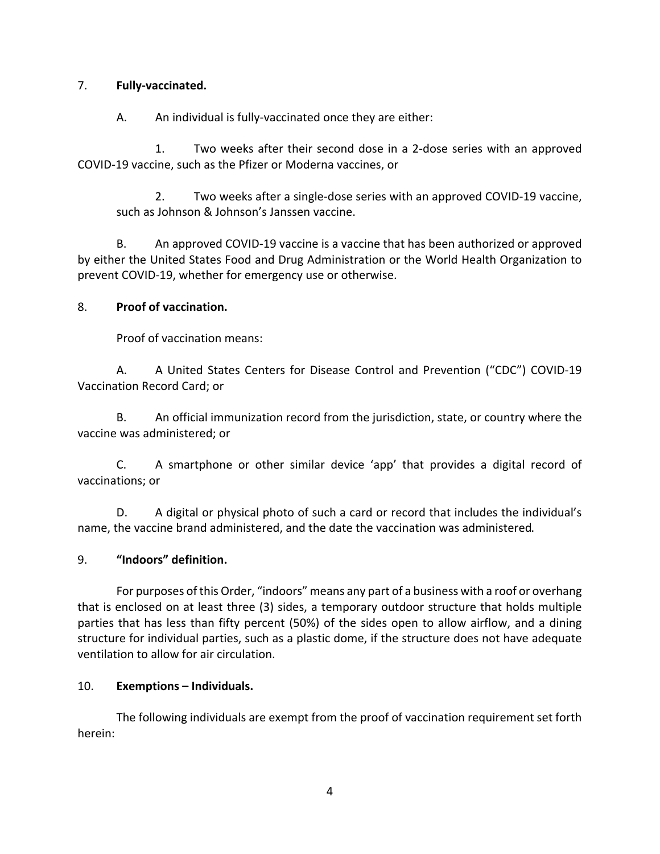#### 7. **Fully‐vaccinated.**

A. An individual is fully-vaccinated once they are either:

1. Two weeks after their second dose in a 2-dose series with an approved COVID‐19 vaccine, such as the Pfizer or Moderna vaccines, or

2. Two weeks after a single‐dose series with an approved COVID‐19 vaccine, such as Johnson & Johnson's Janssen vaccine.

B. An approved COVID-19 vaccine is a vaccine that has been authorized or approved by either the United States Food and Drug Administration or the World Health Organization to prevent COVID‐19, whether for emergency use or otherwise.

#### 8. **Proof of vaccination.**

Proof of vaccination means:

A. A United States Centers for Disease Control and Prevention ("CDC") COVID-19 Vaccination Record Card; or

B. An official immunization record from the jurisdiction, state, or country where the vaccine was administered; or

C. A smartphone or other similar device 'app' that provides a digital record of vaccinations; or

D. A digital or physical photo of such a card or record that includes the individual's name, the vaccine brand administered, and the date the vaccination was administered.

#### 9. **"Indoors" definition.**

For purposes of this Order, "indoors" means any part of a business with a roof or overhang that is enclosed on at least three (3) sides, a temporary outdoor structure that holds multiple parties that has less than fifty percent (50%) of the sides open to allow airflow, and a dining structure for individual parties, such as a plastic dome, if the structure does not have adequate ventilation to allow for air circulation.

#### 10. **Exemptions – Individuals.**

The following individuals are exempt from the proof of vaccination requirement set forth herein: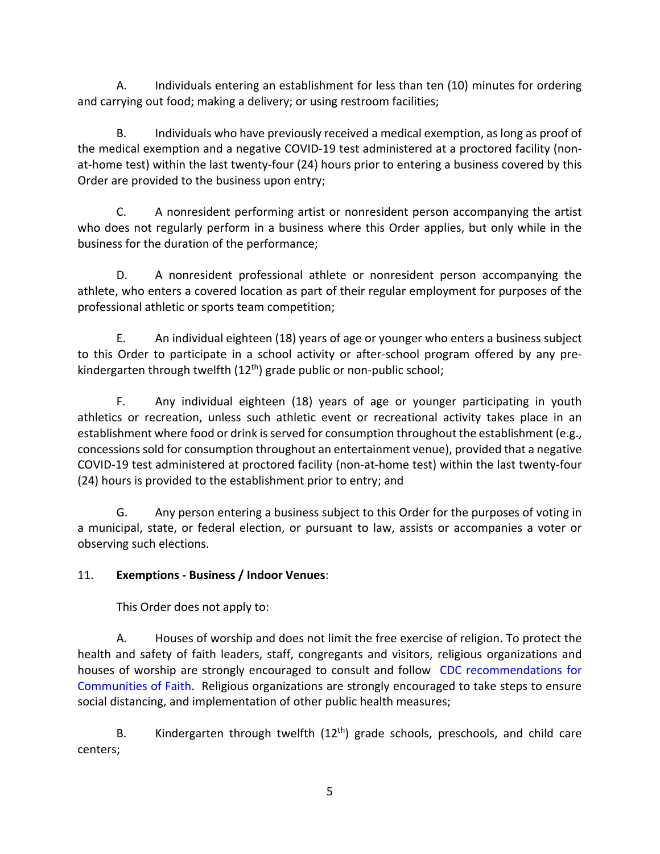A. Individuals entering an establishment for less than ten (10) minutes for ordering and carrying out food; making a delivery; or using restroom facilities;

B. Individuals who have previously received a medical exemption, as long as proof of the medical exemption and a negative COVID‐19 test administered at a proctored facility (non‐ at-home test) within the last twenty-four (24) hours prior to entering a business covered by this Order are provided to the business upon entry;

C. A nonresident performing artist or nonresident person accompanying the artist who does not regularly perform in a business where this Order applies, but only while in the business for the duration of the performance;

D. A nonresident professional athlete or nonresident person accompanying the athlete, who enters a covered location as part of their regular employment for purposes of the professional athletic or sports team competition;

E. An individual eighteen (18) years of age or younger who enters a business subject to this Order to participate in a school activity or after-school program offered by any prekindergarten through twelfth (12<sup>th</sup>) grade public or non-public school;

F. Any individual eighteen (18) years of age or younger participating in youth athletics or recreation, unless such athletic event or recreational activity takes place in an establishment where food or drink is served for consumption throughout the establishment (e.g., concessions sold for consumption throughout an entertainment venue), provided that a negative COVID‐19 test administered at proctored facility (non‐at‐home test) within the last twenty‐four (24) hours is provided to the establishment prior to entry; and

G. Any person entering a business subject to this Order for the purposes of voting in a municipal, state, or federal election, or pursuant to law, assists or accompanies a voter or observing such elections.

# 11. **Exemptions ‐ Business / Indoor Venues**:

This Order does not apply to:

A. Houses of worship and does not limit the free exercise of religion. To protect the health and safety of faith leaders, staff, congregants and visitors, religious organizations and houses of worship are strongly encouraged to consult and follow CDC recommendations for Communities of Faith. Religious organizations are strongly encouraged to take steps to ensure social distancing, and implementation of other public health measures;

B. Kindergarten through twelfth  $(12<sup>th</sup>)$  grade schools, preschools, and child care centers;